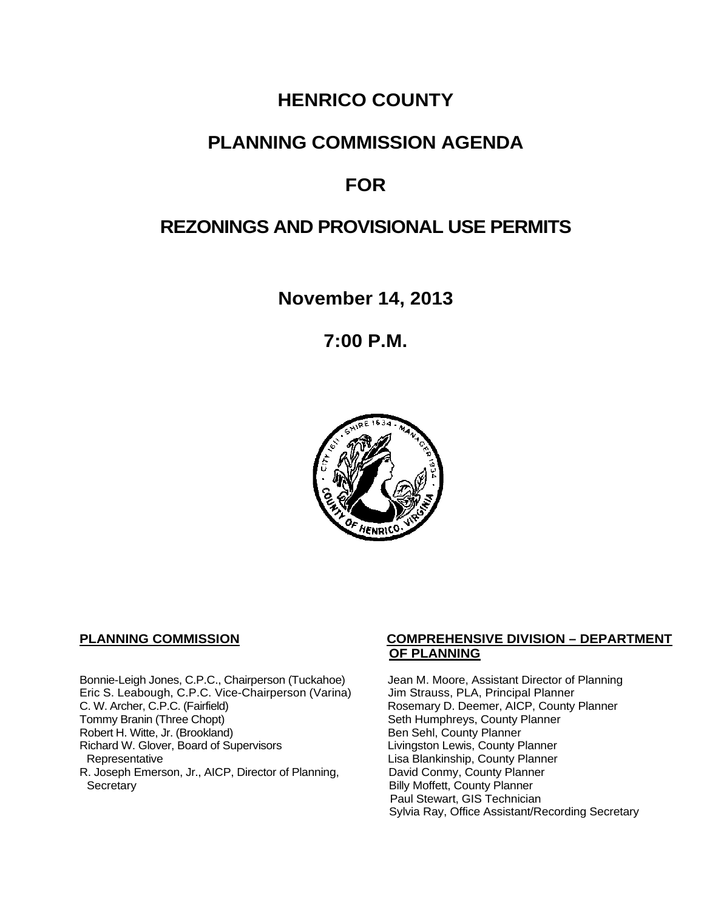# **HENRICO COUNTY**

# **PLANNING COMMISSION AGENDA**

# **FOR**

# **REZONINGS AND PROVISIONAL USE PERMITS**

**November 14, 2013**

**7:00 P.M.**



Bonnie-Leigh Jones, C.P.C., Chairperson (Tuckahoe) Jean M. Moore, Assistant Director of Planning<br>Eric S. Leabough, C.P.C. Vice-Chairperson (Varina) Jim Strauss, PLA, Principal Planner Eric S. Leabough, C.P.C. Vice-Chairperson (Varina)<br>C. W. Archer, C.P.C. (Fairfield) C. W. Archer, C.P.C. (Fairfield) Rosemary D. Deemer, AICP, County Planner<br>Tommy Branin (Three Chopt) Seth Humphreys, County Planner Robert H. Witte, Jr. (Brookland)<br>
Richard W. Glover, Board of Supervisors<br>
Livingston Lewis, County Planner Richard W. Glover, Board of Supervisors<br>Representative R. Joseph Emerson, Jr., AICP, Director of Planning, Secretary

#### **PLANNING COMMISSION COMPREHENSIVE DIVISION – DEPARTMENT OF PLANNING**

Seth Humphreys, County Planner<br>Ben Sehl, County Planner Lisa Blankinship, County Planner<br>David Conmy, County Planner **Billy Moffett, County Planner** Paul Stewart, GIS Technician Sylvia Ray, Office Assistant/Recording Secretary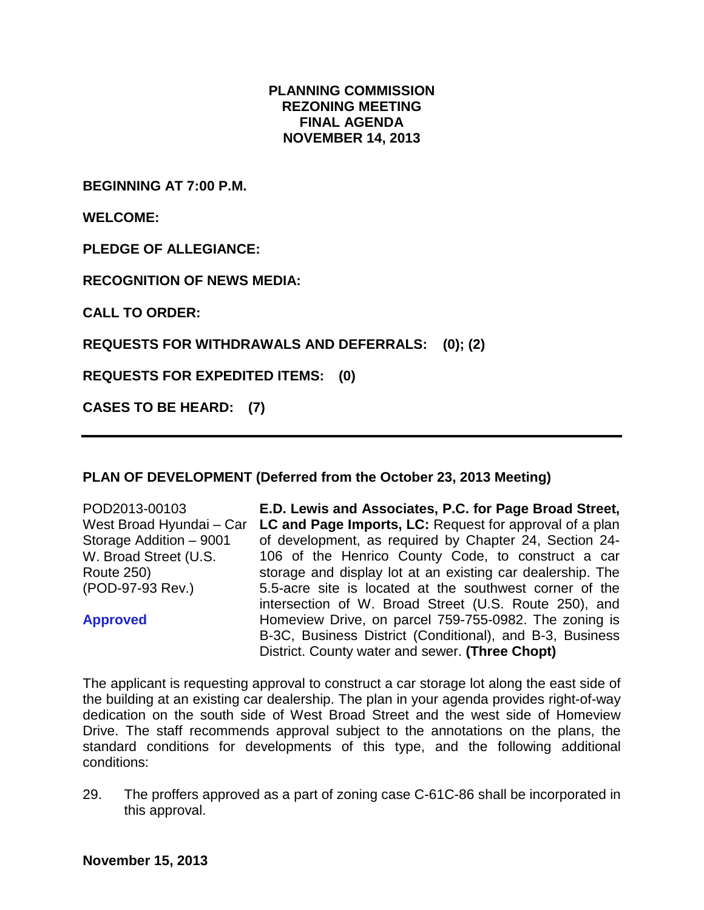#### **PLANNING COMMISSION REZONING MEETING FINAL AGENDA NOVEMBER 14, 2013**

**BEGINNING AT 7:00 P.M.**

**WELCOME:**

**PLEDGE OF ALLEGIANCE:**

**RECOGNITION OF NEWS MEDIA:**

**CALL TO ORDER:**

**REQUESTS FOR WITHDRAWALS AND DEFERRALS: (0); (2)**

**REQUESTS FOR EXPEDITED ITEMS: (0)**

**CASES TO BE HEARD: (7)**

#### **PLAN OF DEVELOPMENT (Deferred from the October 23, 2013 Meeting)**

POD2013-00103 West Broad Hyundai – Car Storage Addition – 9001 W. Broad Street (U.S. Route 250) (POD-97-93 Rev.)

**Approved**

**E.D. Lewis and Associates, P.C. for Page Broad Street, LC and Page Imports, LC:** Request for approval of a plan of development, as required by Chapter 24, Section 24- 106 of the Henrico County Code, to construct a car storage and display lot at an existing car dealership. The 5.5-acre site is located at the southwest corner of the intersection of W. Broad Street (U.S. Route 250), and Homeview Drive, on parcel 759-755-0982. The zoning is B-3C, Business District (Conditional), and B-3, Business District. County water and sewer. **(Three Chopt)**

The applicant is requesting approval to construct a car storage lot along the east side of the building at an existing car dealership. The plan in your agenda provides right-of-way dedication on the south side of West Broad Street and the west side of Homeview Drive. The staff recommends approval subject to the annotations on the plans, the standard conditions for developments of this type, and the following additional conditions:

29. The proffers approved as a part of zoning case C-61C-86 shall be incorporated in this approval.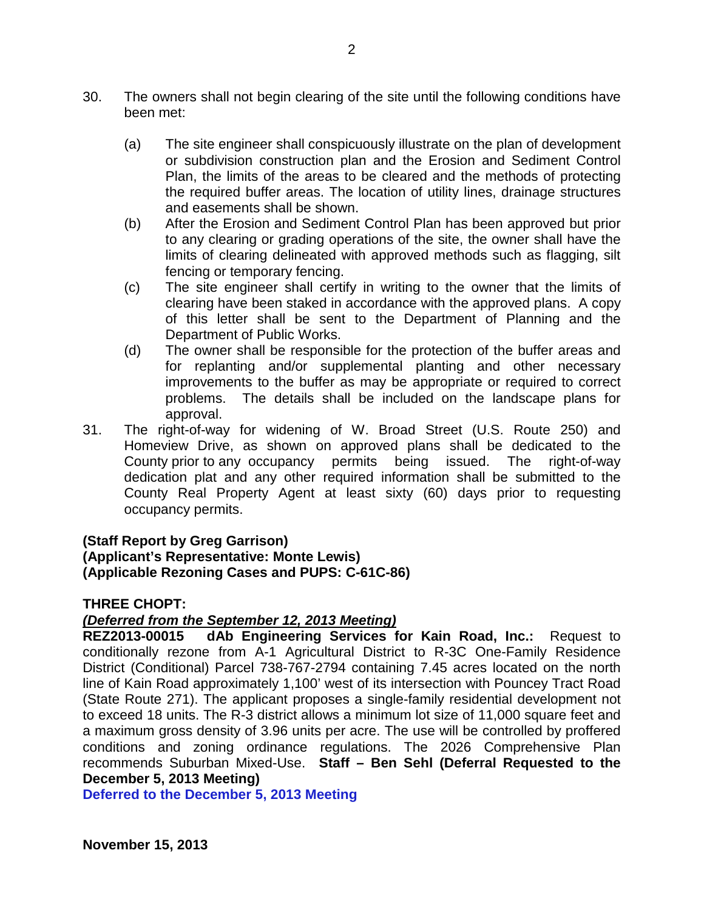- 30. The owners shall not begin clearing of the site until the following conditions have been met:
	- (a) The site engineer shall conspicuously illustrate on the plan of development or subdivision construction plan and the Erosion and Sediment Control Plan, the limits of the areas to be cleared and the methods of protecting the required buffer areas. The location of utility lines, drainage structures and easements shall be shown.
	- (b) After the Erosion and Sediment Control Plan has been approved but prior to any clearing or grading operations of the site, the owner shall have the limits of clearing delineated with approved methods such as flagging, silt fencing or temporary fencing.
	- (c) The site engineer shall certify in writing to the owner that the limits of clearing have been staked in accordance with the approved plans. A copy of this letter shall be sent to the Department of Planning and the Department of Public Works.
	- (d) The owner shall be responsible for the protection of the buffer areas and for replanting and/or supplemental planting and other necessary improvements to the buffer as may be appropriate or required to correct problems. The details shall be included on the landscape plans for approval.
- 31. The right-of-way for widening of W. Broad Street (U.S. Route 250) and Homeview Drive, as shown on approved plans shall be dedicated to the County prior to any occupancy permits being issued. The right-of-way dedication plat and any other required information shall be submitted to the County Real Property Agent at least sixty (60) days prior to requesting occupancy permits.

## **(Staff Report by Greg Garrison)**

## **(Applicant's Representative: Monte Lewis) (Applicable Rezoning Cases and PUPS: C-61C-86)**

## **THREE CHOPT:**

## *(Deferred from the September 12, 2013 Meeting)*

**REZ2013-00015 dAb Engineering Services for Kain Road, Inc.:** Request to conditionally rezone from A-1 Agricultural District to R-3C One-Family Residence District (Conditional) Parcel 738-767-2794 containing 7.45 acres located on the north line of Kain Road approximately 1,100' west of its intersection with Pouncey Tract Road (State Route 271). The applicant proposes a single-family residential development not to exceed 18 units. The R-3 district allows a minimum lot size of 11,000 square feet and a maximum gross density of 3.96 units per acre. The use will be controlled by proffered conditions and zoning ordinance regulations. The 2026 Comprehensive Plan recommends Suburban Mixed-Use. **Staff – Ben Sehl (Deferral Requested to the December 5, 2013 Meeting)** 

**Deferred to the December 5, 2013 Meeting**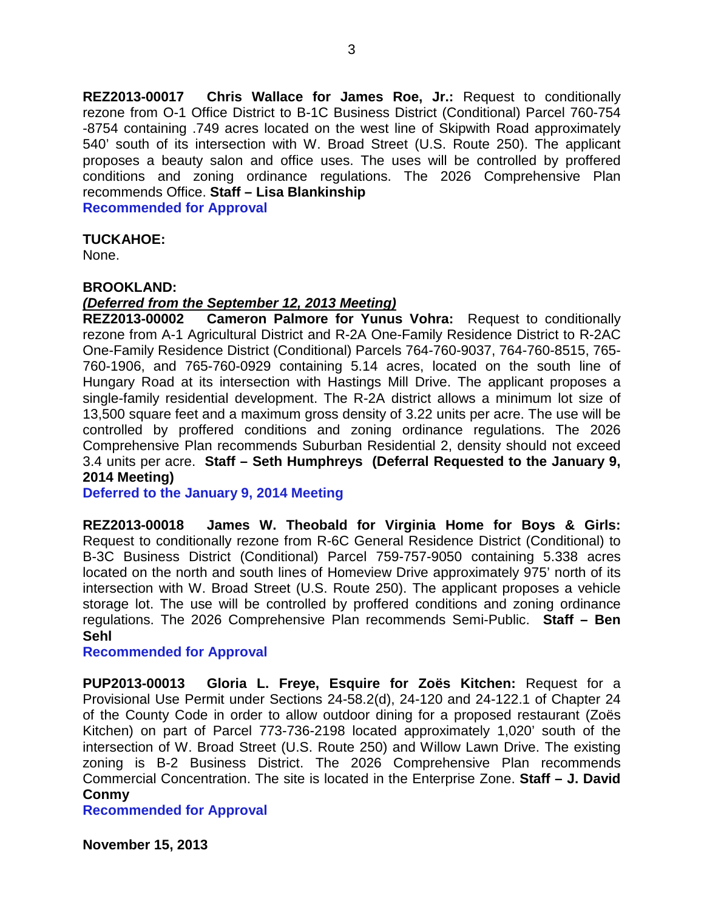**REZ2013-00017 Chris Wallace for James Roe, Jr.:** Request to conditionally rezone from O-1 Office District to B-1C Business District (Conditional) Parcel 760-754 -8754 containing .749 acres located on the west line of Skipwith Road approximately 540' south of its intersection with W. Broad Street (U.S. Route 250). The applicant proposes a beauty salon and office uses. The uses will be controlled by proffered conditions and zoning ordinance regulations. The 2026 Comprehensive Plan recommends Office. **Staff – Lisa Blankinship**

**Recommended for Approval**

#### **TUCKAHOE:**

None.

#### **BROOKLAND:**

#### *(Deferred from the September 12, 2013 Meeting)*

**REZ2013-00002 Cameron Palmore for Yunus Vohra:** Request to conditionally rezone from A-1 Agricultural District and R-2A One-Family Residence District to R-2AC One-Family Residence District (Conditional) Parcels 764-760-9037, 764-760-8515, 765- 760-1906, and 765-760-0929 containing 5.14 acres, located on the south line of Hungary Road at its intersection with Hastings Mill Drive. The applicant proposes a single-family residential development. The R-2A district allows a minimum lot size of 13,500 square feet and a maximum gross density of 3.22 units per acre. The use will be controlled by proffered conditions and zoning ordinance regulations. The 2026 Comprehensive Plan recommends Suburban Residential 2, density should not exceed 3.4 units per acre. **Staff – Seth Humphreys (Deferral Requested to the January 9, 2014 Meeting)**

**Deferred to the January 9, 2014 Meeting**

**REZ2013-00018 James W. Theobald for Virginia Home for Boys & Girls:**  Request to conditionally rezone from R-6C General Residence District (Conditional) to B-3C Business District (Conditional) Parcel 759-757-9050 containing 5.338 acres located on the north and south lines of Homeview Drive approximately 975' north of its intersection with W. Broad Street (U.S. Route 250). The applicant proposes a vehicle storage lot. The use will be controlled by proffered conditions and zoning ordinance regulations. The 2026 Comprehensive Plan recommends Semi-Public. **Staff – Ben Sehl**

**Recommended for Approval**

**PUP2013-00013 Gloria L. Freye, Esquire for Zoës Kitchen:** Request for a Provisional Use Permit under Sections 24-58.2(d), 24-120 and 24-122.1 of Chapter 24 of the County Code in order to allow outdoor dining for a proposed restaurant (Zoës Kitchen) on part of Parcel 773-736-2198 located approximately 1,020' south of the intersection of W. Broad Street (U.S. Route 250) and Willow Lawn Drive. The existing zoning is B-2 Business District. The 2026 Comprehensive Plan recommends Commercial Concentration. The site is located in the Enterprise Zone. **Staff – J. David Conmy**

**Recommended for Approval**

**November 15, 2013**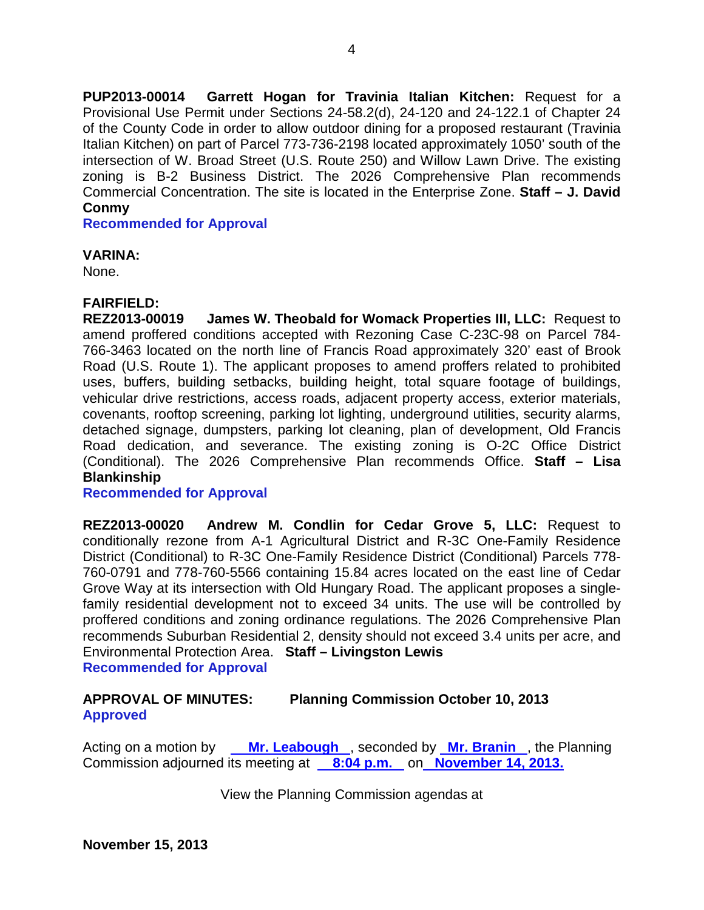**PUP2013-00014 Garrett Hogan for Travinia Italian Kitchen:** Request for a Provisional Use Permit under Sections 24-58.2(d), 24-120 and 24-122.1 of Chapter 24 of the County Code in order to allow outdoor dining for a proposed restaurant (Travinia Italian Kitchen) on part of Parcel 773-736-2198 located approximately 1050' south of the intersection of W. Broad Street (U.S. Route 250) and Willow Lawn Drive. The existing zoning is B-2 Business District. The 2026 Comprehensive Plan recommends Commercial Concentration. The site is located in the Enterprise Zone. **Staff – J. David Conmy**

**Recommended for Approval**

#### **VARINA:**

None.

## **FAIRFIELD:**

**REZ2013-00019 James W. Theobald for Womack Properties III, LLC:** Request to amend proffered conditions accepted with Rezoning Case C-23C-98 on Parcel 784- 766-3463 located on the north line of Francis Road approximately 320' east of Brook Road (U.S. Route 1). The applicant proposes to amend proffers related to prohibited uses, buffers, building setbacks, building height, total square footage of buildings, vehicular drive restrictions, access roads, adjacent property access, exterior materials, covenants, rooftop screening, parking lot lighting, underground utilities, security alarms, detached signage, dumpsters, parking lot cleaning, plan of development, Old Francis Road dedication, and severance. The existing zoning is O-2C Office District (Conditional). The 2026 Comprehensive Plan recommends Office. **Staff – Lisa Blankinship**

**Recommended for Approval**

**REZ2013-00020 Andrew M. Condlin for Cedar Grove 5, LLC:** Request to conditionally rezone from A-1 Agricultural District and R-3C One-Family Residence District (Conditional) to R-3C One-Family Residence District (Conditional) Parcels 778- 760-0791 and 778-760-5566 containing 15.84 acres located on the east line of Cedar Grove Way at its intersection with Old Hungary Road. The applicant proposes a singlefamily residential development not to exceed 34 units. The use will be controlled by proffered conditions and zoning ordinance regulations. The 2026 Comprehensive Plan recommends Suburban Residential 2, density should not exceed 3.4 units per acre, and Environmental Protection Area. **Staff – Livingston Lewis Recommended for Approval**

## **APPROVAL OF MINUTES: Planning Commission October 10, 2013 Approved**

Acting on a motion by **Mr. Leabough** , seconded by **Mr. Branin** , the Planning Commission adjourned its meeting at **8:04 p.m.** on **November 14, 2013.** 

View the Planning Commission agendas at